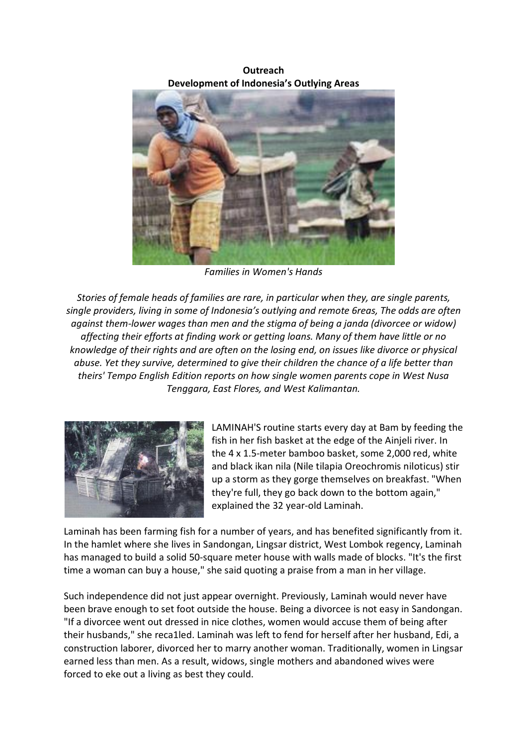**Outreach Development of Indonesia's Outlying Areas** 



**Families in Women's Hands** 

Stories of female heads of families are rare, in particular when they, are single parents, single providers, living in some of Indonesia's outlying and remote 6reas, The odds are often against them-lower wages than men and the stigma of being a janda (divorcee or widow) affecting their efforts at finding work or getting loans. Many of them have little or no knowledge of their rights and are often on the losing end, on issues like divorce or physical abuse. Yet they survive, determined to give their children the chance of a life better than theirs' Tempo English Edition reports on how single women parents cope in West Nusa *Tenggara, East Flores, and West Kalimantan.* 



LAMINAH'S routine starts every day at Bam by feeding the fish in her fish basket at the edge of the Ainjeli river. In the 4 x 1.5-meter bamboo basket, some 2,000 red, white and black ikan nila (Nile tilapia Oreochromis niloticus) stir up a storm as they gorge themselves on breakfast. "When they're full, they go back down to the bottom again," explained the 32 year-old Laminah.

Laminah has been farming fish for a number of years, and has benefited significantly from it. In the hamlet where she lives in Sandongan, Lingsar district, West Lombok regency, Laminah has managed to build a solid 50-square meter house with walls made of blocks. "It's the first time a woman can buy a house," she said quoting a praise from a man in her village.

Such independence did not just appear overnight. Previously, Laminah would never have been brave enough to set foot outside the house. Being a divorcee is not easy in Sandongan. "If a divorcee went out dressed in nice clothes, women would accuse them of being after their husbands," she reca1led. Laminah was left to fend for herself after her husband, Edi, a construction laborer, divorced her to marry another woman. Traditionally, women in Lingsar earned less than men. As a result, widows, single mothers and abandoned wives were forced to eke out a living as best they could.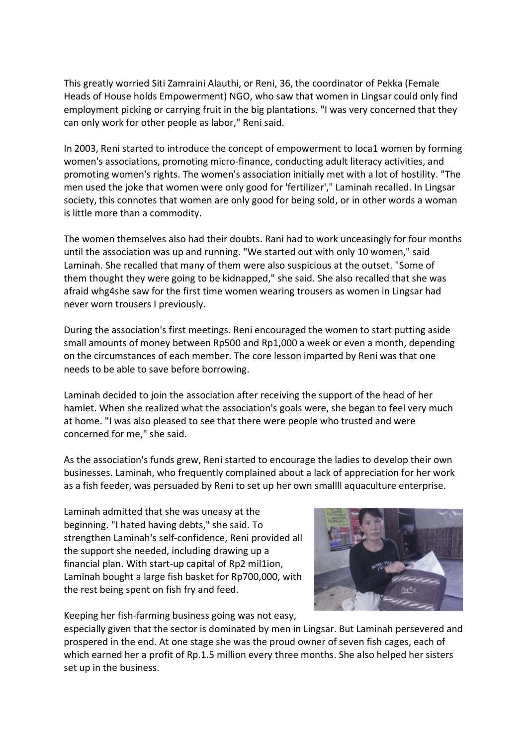This greatly worried Siti Zamraini Alauthi, or Reni, 36, the coordinator of Pekka (Female Heads of House holds Empowerment) NGO, who saw that women in Lingsar could only find employment picking or carrying fruit in the big plantations. "I was very concerned that they can only work for other people as labor," Reni said.

In 2003, Reni started to introduce the concept of empowerment to loca1 women by forming women's associations, promoting micro-finance, conducting adult literacy activities, and promoting women's rights. The women's association initially met with a lot of hostility. "The men used the joke that women were only good for 'fertilizer'," Laminah recalled. In Lingsar society, this connotes that women are only good for being sold, or in other words a woman is little more than a commodity.

The women themselves also had their doubts. Rani had to work unceasingly for four months until the association was up and running. "We started out with only 10 women," said Laminah. She recalled that many of them were also suspicious at the outset. "Some of them thought they were going to be kidnapped," she said. She also recalled that she was afraid whg4she saw for the first time women wearing trousers as women in Lingsar had never worn trousers I previously.

During the association's first meetings. Reni encouraged the women to start putting aside small amounts of money between Rp500 and Rp1,000 a week or even a month, depending on the circumstances of each member. The core lesson imparted by Reni was that one needs to be able to save before borrowing.

Laminah decided to join the association after receiving the support of the head of her hamlet. When she realized what the association's goals were, she began to feel very much at home. "I was also pleased to see that there were people who trusted and were concerned for me," she said.

As the association's funds grew, Reni started to encourage the ladies to develop their own businesses. Laminah, who frequently complained about a lack of appreciation for her work as a fish feeder, was persuaded by Reni to set up her own smallll aquaculture enterprise.

Laminah admitted that she was uneasy at the beginning. "I hated having debts," she said. To strengthen Laminah's self-confidence, Reni provided all the support she needed, including drawing up a financial plan. With start-up capital of Rp2 mil1ion, Laminah bought a large fish basket for Rp700,000, with the rest being spent on fish fry and feed.

Keeping her fish-farming business going was not easy,

especially given that the sector is dominated by men in Lingsar. But Laminah persevered and prospered in the end. At one stage she was the proud owner of seven fish cages, each of which earned her a profit of Rp.1.5 million every three months. She also helped her sisters set up in the business.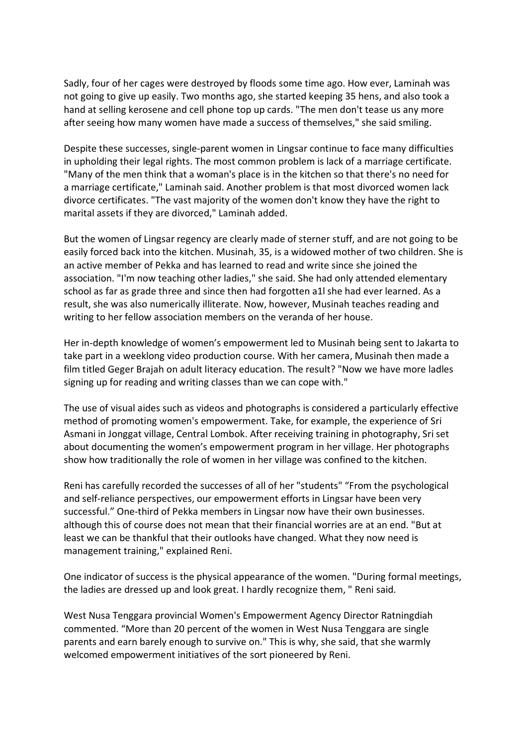Sadly, four of her cages were destroyed by floods some time ago. How ever, Laminah was not going to give up easily. Two months ago, she started keeping 35 hens, and also took a hand at selling kerosene and cell phone top up cards. "The men don't tease us any more after seeing how many women have made a success of themselves," she said smiling.

Despite these successes, single-parent women in Lingsar continue to face many difficulties in upholding their legal rights. The most common problem is lack of a marriage certificate. "Many of the men think that a woman's place is in the kitchen so that there's no need for a marriage certificate," Laminah said. Another problem is that most divorced women lack divorce certificates. "The vast majority of the women don't know they have the right to marital assets if they are divorced," Laminah added.

But the women of Lingsar regency are clearly made of sterner stuff, and are not going to be easily forced back into the kitchen. Musinah, 35, is a widowed mother of two children. She is an active member of Pekka and has learned to read and write since she joined the association. "I'm now teaching other ladies," she said. She had only attended elementary school as far as grade three and since then had forgotten a1l she had ever learned. As a result, she was also numerically illiterate. Now, however, Musinah teaches reading and writing to her fellow association members on the veranda of her house.

Her in-depth knowledge of women's empowerment led to Musinah being sent to Jakarta to take part in a weeklong video production course. With her camera, Musinah then made a film titled Geger Brajah on adult literacy education. The result? "Now we have more ladles signing up for reading and writing classes than we can cope with."

The use of visual aides such as videos and photographs is considered a particularly effective method of promoting women's empowerment. Take, for example, the experience of Sri Asmani in Jonggat village, Central Lombok. After receiving training in photography, Sri set about documenting the women's empowerment program in her village. Her photographs show how traditionally the role of women in her village was confined to the kitchen.

Reni has carefully recorded the successes of all of her "students" "From the psychological and self-reliance perspectives, our empowerment efforts in Lingsar have been very successful." One-third of Pekka members in Lingsar now have their own businesses. although this of course does not mean that their financial worries are at an end. "But at least we can be thankful that their outlooks have changed. What they now need is management training," explained Reni.

One indicator of success is the physical appearance of the women. "During formal meetings, the ladies are dressed up and look great. I hardly recognize them, " Reni said.

West Nusa Tenggara provincial Women's Empowerment Agency Director Ratningdiah commented. "More than 20 percent of the women in West Nusa Tenggara are single parents and earn barely enough to survive on." This is why, she said, that she warmly welcomed empowerment initiatives of the sort pioneered by Reni.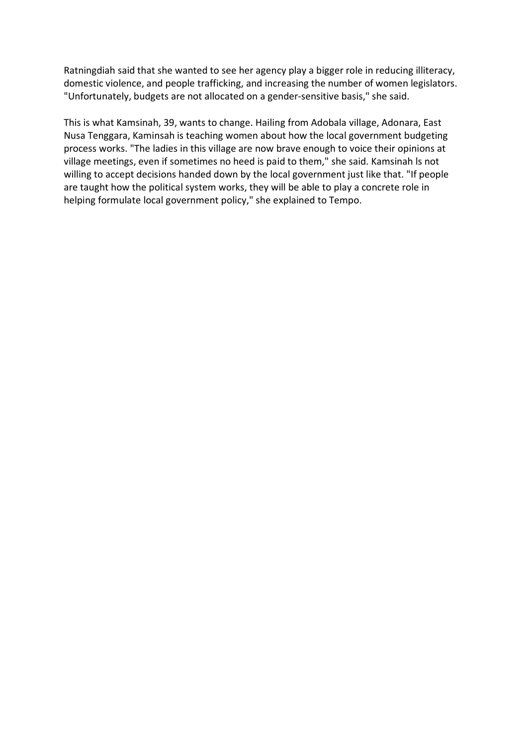Ratningdiah said that she wanted to see her agency play a bigger role in reducing illiteracy, domestic violence, and people trafficking, and increasing the number of women legislators. "Unfortunately, budgets are not allocated on a gender-sensitive basis," she said.

This is what Kamsinah, 39, wants to change. Hailing from Adobala village, Adonara, East Nusa Tenggara, Kaminsah is teaching women about how the local government budgeting process works. "The ladies in this village are now brave enough to voice their opinions at village meetings, even if sometimes no heed is paid to them," she said. Kamsinah Is not willing to accept decisions handed down by the local government just like that. "If people are taught how the political system works, they will be able to play a concrete role in helping formulate local government policy," she explained to Tempo.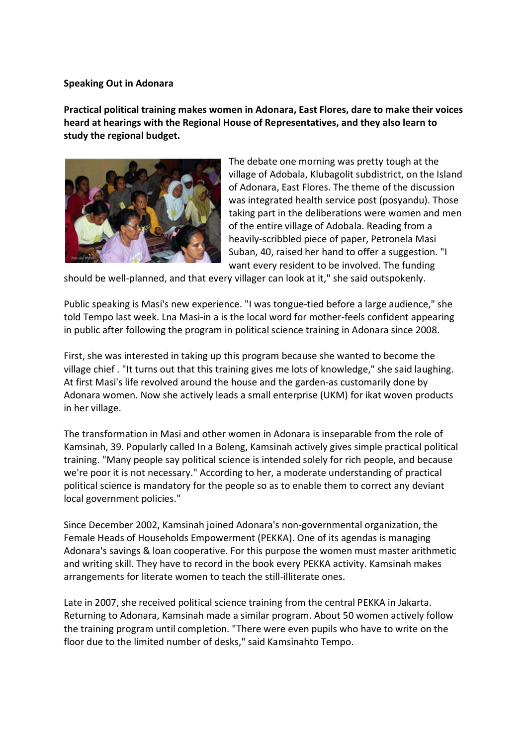### **Speaking Out in Adonara**

Practical political training makes women in Adonara, East Flores, dare to make their voices heard at hearings with the Regional House of Representatives, and they also learn to study the regional budget.



The debate one morning was pretty tough at the village of Adobala, Klubagolit subdistrict, on the Island of Adonara, East Flores. The theme of the discussion was integrated health service post (posyandu). Those taking part in the deliberations were women and men of the entire village of Adobala. Reading from a heavily-scribbled piece of paper, Petronela Masi Suban, 40, raised her hand to offer a suggestion. "I want every resident to be involved. The funding

should be well-planned, and that every villager can look at it," she said outspokenly.

Public speaking is Masi's new experience. "I was tongue-tied before a large audience," she told Tempo last week. Lna Masi-in a is the local word for mother-feels confident appearing in public after following the program in political science training in Adonara since 2008.

First, she was interested in taking up this program because she wanted to become the village chief. "It turns out that this training gives me lots of knowledge," she said laughing. At first Masi's life revolved around the house and the garden-as customarily done by Adonara women. Now she actively leads a small enterprise (UKM) for ikat woven products in her village.

The transformation in Masi and other women in Adonara is inseparable from the role of Kamsinah, 39. Popularly called In a Boleng, Kamsinah actively gives simple practical political training. "Many people say political science is intended solely for rich people, and because we're poor it is not necessary." According to her, a moderate understanding of practical political science is mandatory for the people so as to enable them to correct any deviant local government policies."

Since December 2002, Kamsinah joined Adonara's non-governmental organization, the Female Heads of Households Empowerment (PEKKA). One of its agendas is managing Adonara's savings & loan cooperative. For this purpose the women must master arithmetic and writing skill. They have to record in the book every PEKKA activity. Kamsinah makes arrangements for literate women to teach the still-illiterate ones.

Late in 2007, she received political science training from the central PEKKA in Jakarta. Returning to Adonara, Kamsinah made a similar program. About 50 women actively follow the training program until completion. "There were even pupils who have to write on the floor due to the limited number of desks," said Kamsinahto Tempo.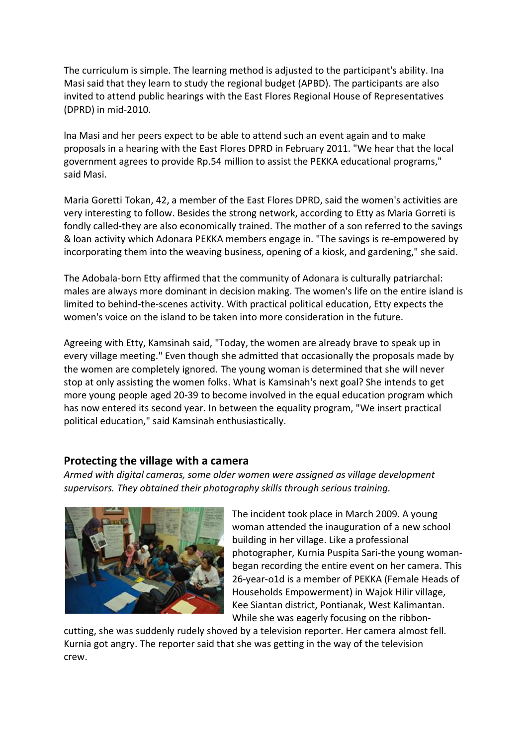The curriculum is simple. The learning method is adjusted to the participant's ability. Ina Masi said that they learn to study the regional budget (APBD). The participants are also invited to attend public hearings with the East Flores Regional House of Representatives (DPRD) in mid-2010.

lna Masi and her peers expect to be able to attend such an event again and to make proposals in a hearing with the East Flores DPRD in February 2011. "We hear that the local government agrees to provide Rp.54 million to assist the PEKKA educational programs," said Masi.

Maria Goretti Tokan, 42, a member of the East Flores DPRD, said the women's activities are very interesting to follow. Besides the strong network, according to Etty as Maria Gorreti is fondly called-they are also economically trained. The mother of a son referred to the savings & loan activity which Adonara PEKKA members engage in. "The savings is re-empowered by incorporating them into the weaving business, opening of a kiosk, and gardening," she said.

The Adobala-born Etty affirmed that the community of Adonara is culturally patriarchal: males are always more dominant in decision making. The women's life on the entire island is limited to behind-the-scenes activity. With practical political education, Etty expects the women's voice on the island to be taken into more consideration in the future.

Agreeing with Etty, Kamsinah said, "Today, the women are already brave to speak up in every village meeting." Even though she admitted that occasionally the proposals made by the women are completely ignored. The young woman is determined that she will never stop at only assisting the women folks. What is Kamsinah's next goal? She intends to get more young people aged 20-39 to become involved in the equal education program which has now entered its second year. In between the equality program, "We insert practical political education," said Kamsinah enthusiastically.

## Protecting the village with a camera

Armed with digital cameras, some older women were assigned as village development supervisors. They obtained their photography skills through serious training.



The incident took place in March 2009. A young woman attended the inauguration of a new school building in her village. Like a professional photographer, Kurnia Puspita Sari-the young womanbegan recording the entire event on her camera. This 26-year-o1d is a member of PEKKA (Female Heads of Households Empowerment) in Wajok Hilir village, Kee Siantan district, Pontianak, West Kalimantan. While she was eagerly focusing on the ribbon-

cutting, she was suddenly rudely shoved by a television reporter. Her camera almost fell. Kurnia got angry. The reporter said that she was getting in the way of the television crew.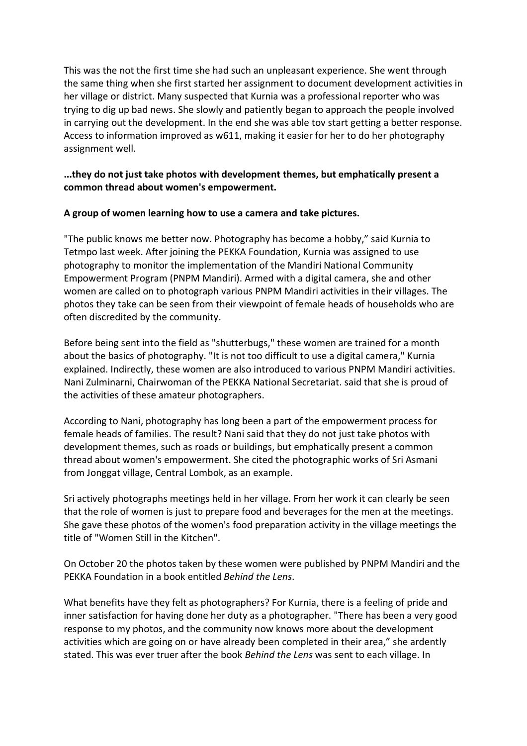This was the not the first time she had such an unpleasant experience. She went through the same thing when she first started her assignment to document development activities in her village or district. Many suspected that Kurnia was a professional reporter who was trying to dig up bad news. She slowly and patiently began to approach the people involved in carrying out the development. In the end she was able tov start getting a better response. Access to information improved as w611, making it easier for her to do her photography assignment well.

## **...they do not just take photos with development themes, but emphatically present a common thread)about)women's empowerment.**

## **A)group)of)women)learning)how)to)use)a camera)and)take)pictures.**

"The public knows me better now. Photography has become a hobby," said Kurnia to Tetmpo last week. After joining the PEKKA Foundation, Kurnia was assigned to use photography to monitor the implementation of the Mandiri National Community Empowerment Program (PNPM Mandiri). Armed with a digital camera, she and other women are called on to photograph various PNPM Mandiri activities in their villages. The photos they take can be seen from their viewpoint of female heads of households who are often discredited by the community.

Before being sent into the field as "shutterbugs," these women are trained for a month about the basics of photography. "It is not too difficult to use a digital camera," Kurnia explained. Indirectly, these women are also introduced to various PNPM Mandiri activities. Nani Zulminarni, Chairwoman of the PEKKA National Secretariat. said that she is proud of the activities of these amateur photographers.

According to Nani, photography has long been a part of the empowerment process for female heads of families. The result? Nani said that they do not just take photos with development themes, such as roads or buildings, but emphatically present a common thread about women's empowerment. She cited the photographic works of Sri Asmani from Jonggat village, Central Lombok, as an example.

Sri actively photographs meetings held in her village. From her work it can clearly be seen that the role of women is just to prepare food and beverages for the men at the meetings. She gave these photos of the women's food preparation activity in the village meetings the title of "Women Still in the Kitchen".

On October 20 the photos taken by these women were published by PNPM Mandiri and the PEKKA Foundation in a book entitled *Behind the Lens.* 

What benefits have they felt as photographers? For Kurnia, there is a feeling of pride and inner satisfaction for having done her duty as a photographer. "There has been a very good response to my photos, and the community now knows more about the development activities which are going on or have already been completed in their area," she ardently stated. This was ever truer after the book *Behind the Lens* was sent to each village. In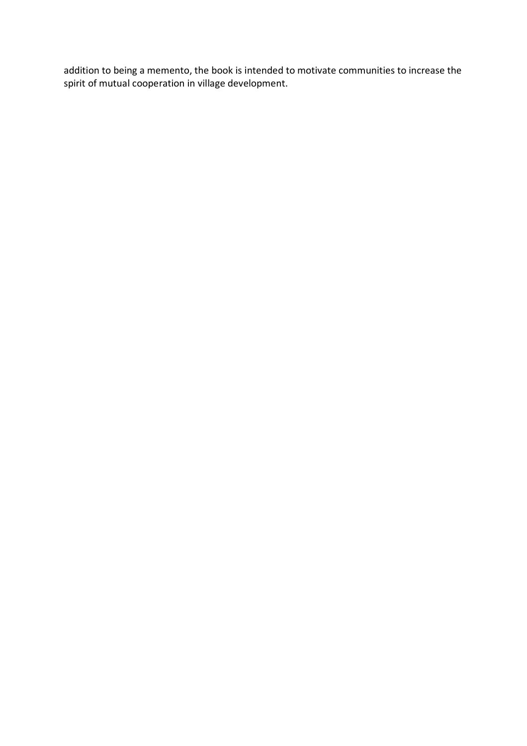addition to being a memento, the book is intended to motivate communities to increase the spirit of mutual cooperation in village development.